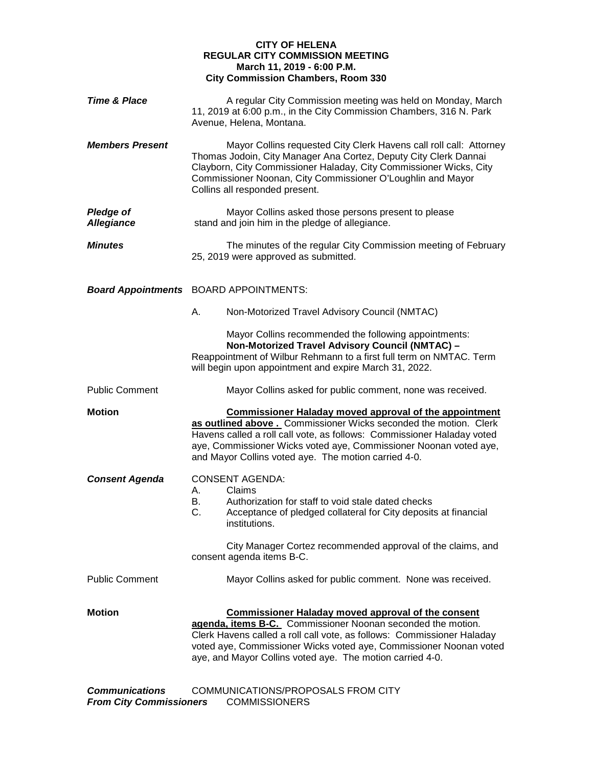## **CITY OF HELENA REGULAR CITY COMMISSION MEETING March 11, 2019 - 6:00 P.M. City Commission Chambers, Room 330**

| <b>Time &amp; Place</b>               | A regular City Commission meeting was held on Monday, March<br>11, 2019 at 6:00 p.m., in the City Commission Chambers, 316 N. Park<br>Avenue, Helena, Montana.                                                                                                                                                                            |
|---------------------------------------|-------------------------------------------------------------------------------------------------------------------------------------------------------------------------------------------------------------------------------------------------------------------------------------------------------------------------------------------|
| <b>Members Present</b>                | Mayor Collins requested City Clerk Havens call roll call: Attorney<br>Thomas Jodoin, City Manager Ana Cortez, Deputy City Clerk Dannai<br>Clayborn, City Commissioner Haladay, City Commissioner Wicks, City<br>Commissioner Noonan, City Commissioner O'Loughlin and Mayor<br>Collins all responded present.                             |
| <b>Pledge of</b><br><b>Allegiance</b> | Mayor Collins asked those persons present to please<br>stand and join him in the pledge of allegiance.                                                                                                                                                                                                                                    |
| <b>Minutes</b>                        | The minutes of the regular City Commission meeting of February<br>25, 2019 were approved as submitted.                                                                                                                                                                                                                                    |
|                                       | <b>Board Appointments</b> BOARD APPOINTMENTS:                                                                                                                                                                                                                                                                                             |
|                                       | А.<br>Non-Motorized Travel Advisory Council (NMTAC)                                                                                                                                                                                                                                                                                       |
|                                       | Mayor Collins recommended the following appointments:<br>Non-Motorized Travel Advisory Council (NMTAC) -<br>Reappointment of Wilbur Rehmann to a first full term on NMTAC. Term<br>will begin upon appointment and expire March 31, 2022.                                                                                                 |
| <b>Public Comment</b>                 | Mayor Collins asked for public comment, none was received.                                                                                                                                                                                                                                                                                |
| <b>Motion</b>                         | <b>Commissioner Haladay moved approval of the appointment</b><br>as outlined above . Commissioner Wicks seconded the motion. Clerk<br>Havens called a roll call vote, as follows: Commissioner Haladay voted<br>aye, Commissioner Wicks voted aye, Commissioner Noonan voted aye,<br>and Mayor Collins voted aye. The motion carried 4-0. |
| <b>Consent Agenda</b>                 | <b>CONSENT AGENDA:</b><br>Claims<br>А.<br>Authorization for staff to void stale dated checks<br>В.<br>C.<br>Acceptance of pledged collateral for City deposits at financial<br>institutions.<br>City Manager Cortez recommended approval of the claims, and<br>consent agenda items B-C.                                                  |
| <b>Public Comment</b>                 | Mayor Collins asked for public comment. None was received.                                                                                                                                                                                                                                                                                |
| <b>Motion</b>                         | <b>Commissioner Haladay moved approval of the consent</b><br>agenda, items B-C. Commissioner Noonan seconded the motion.<br>Clerk Havens called a roll call vote, as follows: Commissioner Haladay<br>voted aye, Commissioner Wicks voted aye, Commissioner Noonan voted<br>aye, and Mayor Collins voted aye. The motion carried 4-0.     |
| <b>Communications</b>                 | COMMUNICATIONS/PROPOSALS FROM CITY                                                                                                                                                                                                                                                                                                        |

*From City Commissioners* COMMISSIONERS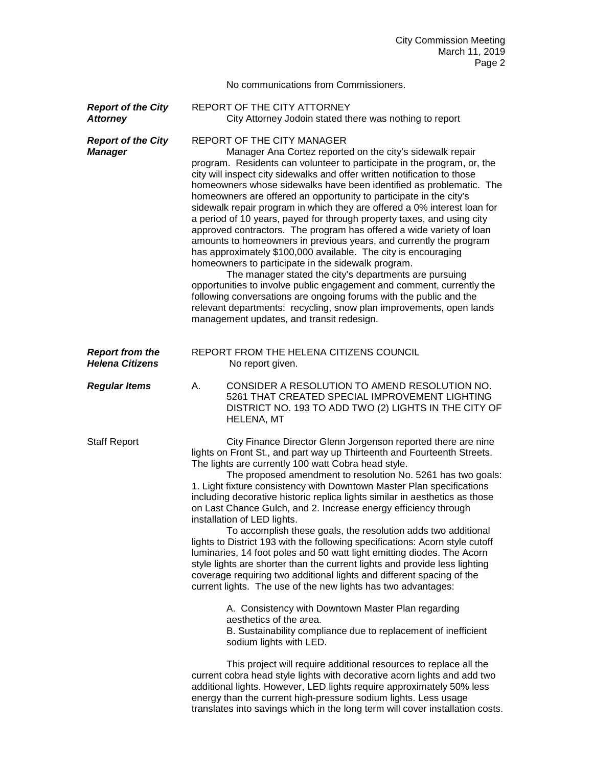No communications from Commissioners.

**Report of the City** REPORT OF THE CITY ATTORNEY **Attorney City Attorney Jodoin stated there was nothing to report** 

**Report of the City** REPORT OF THE CITY MANAGER

**Manager** Manager Ana Cortez reported on the city's sidewalk repair program. Residents can volunteer to participate in the program, or, the city will inspect city sidewalks and offer written notification to those homeowners whose sidewalks have been identified as problematic. The homeowners are offered an opportunity to participate in the city's sidewalk repair program in which they are offered a 0% interest loan for a period of 10 years, payed for through property taxes, and using city approved contractors. The program has offered a wide variety of loan amounts to homeowners in previous years, and currently the program has approximately \$100,000 available. The city is encouraging homeowners to participate in the sidewalk program.

> The manager stated the city's departments are pursuing opportunities to involve public engagement and comment, currently the following conversations are ongoing forums with the public and the relevant departments: recycling, snow plan improvements, open lands management updates, and transit redesign.

- *Report from the* REPORT FROM THE HELENA CITIZENS COUNCIL No report given.
- *Regular Items* A. CONSIDER A RESOLUTION TO AMEND RESOLUTION NO. 5261 THAT CREATED SPECIAL IMPROVEMENT LIGHTING DISTRICT NO. 193 TO ADD TWO (2) LIGHTS IN THE CITY OF HELENA, MT

Staff Report City Finance Director Glenn Jorgenson reported there are nine lights on Front St., and part way up Thirteenth and Fourteenth Streets. The lights are currently 100 watt Cobra head style.

The proposed amendment to resolution No. 5261 has two goals: 1. Light fixture consistency with Downtown Master Plan specifications including decorative historic replica lights similar in aesthetics as those on Last Chance Gulch, and 2. Increase energy efficiency through installation of LED lights.

To accomplish these goals, the resolution adds two additional lights to District 193 with the following specifications: Acorn style cutoff luminaries, 14 foot poles and 50 watt light emitting diodes. The Acorn style lights are shorter than the current lights and provide less lighting coverage requiring two additional lights and different spacing of the current lights. The use of the new lights has two advantages:

> A. Consistency with Downtown Master Plan regarding aesthetics of the area.

B. Sustainability compliance due to replacement of inefficient sodium lights with LED.

This project will require additional resources to replace all the current cobra head style lights with decorative acorn lights and add two additional lights. However, LED lights require approximately 50% less energy than the current high-pressure sodium lights. Less usage translates into savings which in the long term will cover installation costs.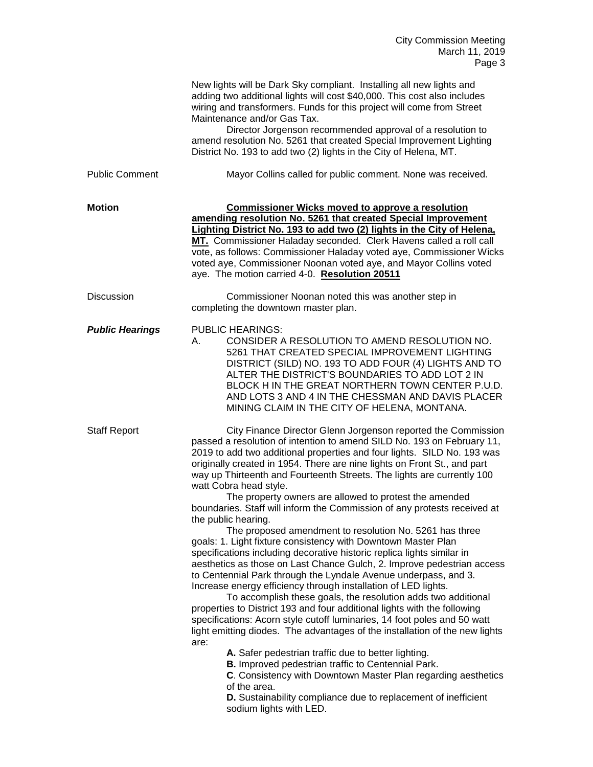|                        | New lights will be Dark Sky compliant. Installing all new lights and<br>adding two additional lights will cost \$40,000. This cost also includes<br>wiring and transformers. Funds for this project will come from Street<br>Maintenance and/or Gas Tax.<br>Director Jorgenson recommended approval of a resolution to<br>amend resolution No. 5261 that created Special Improvement Lighting<br>District No. 193 to add two (2) lights in the City of Helena, MT.                                                                                                                                                                                                                                                                                                                                                                                                                                                                                                                                                                                                                                                                                                                                                                                                                                                                                                                                                                                                                                                                                                                                     |
|------------------------|--------------------------------------------------------------------------------------------------------------------------------------------------------------------------------------------------------------------------------------------------------------------------------------------------------------------------------------------------------------------------------------------------------------------------------------------------------------------------------------------------------------------------------------------------------------------------------------------------------------------------------------------------------------------------------------------------------------------------------------------------------------------------------------------------------------------------------------------------------------------------------------------------------------------------------------------------------------------------------------------------------------------------------------------------------------------------------------------------------------------------------------------------------------------------------------------------------------------------------------------------------------------------------------------------------------------------------------------------------------------------------------------------------------------------------------------------------------------------------------------------------------------------------------------------------------------------------------------------------|
| <b>Public Comment</b>  | Mayor Collins called for public comment. None was received.                                                                                                                                                                                                                                                                                                                                                                                                                                                                                                                                                                                                                                                                                                                                                                                                                                                                                                                                                                                                                                                                                                                                                                                                                                                                                                                                                                                                                                                                                                                                            |
| <b>Motion</b>          | <b>Commissioner Wicks moved to approve a resolution</b><br>amending resolution No. 5261 that created Special Improvement<br>Lighting District No. 193 to add two (2) lights in the City of Helena.<br>MT. Commissioner Haladay seconded. Clerk Havens called a roll call<br>vote, as follows: Commissioner Haladay voted aye, Commissioner Wicks<br>voted aye, Commissioner Noonan voted aye, and Mayor Collins voted<br>aye. The motion carried 4-0. Resolution 20511                                                                                                                                                                                                                                                                                                                                                                                                                                                                                                                                                                                                                                                                                                                                                                                                                                                                                                                                                                                                                                                                                                                                 |
| <b>Discussion</b>      | Commissioner Noonan noted this was another step in<br>completing the downtown master plan.                                                                                                                                                                                                                                                                                                                                                                                                                                                                                                                                                                                                                                                                                                                                                                                                                                                                                                                                                                                                                                                                                                                                                                                                                                                                                                                                                                                                                                                                                                             |
| <b>Public Hearings</b> | <b>PUBLIC HEARINGS:</b><br>CONSIDER A RESOLUTION TO AMEND RESOLUTION NO.<br>А.<br>5261 THAT CREATED SPECIAL IMPROVEMENT LIGHTING<br>DISTRICT (SILD) NO. 193 TO ADD FOUR (4) LIGHTS AND TO<br>ALTER THE DISTRICT'S BOUNDARIES TO ADD LOT 2 IN<br>BLOCK H IN THE GREAT NORTHERN TOWN CENTER P.U.D.<br>AND LOTS 3 AND 4 IN THE CHESSMAN AND DAVIS PLACER<br>MINING CLAIM IN THE CITY OF HELENA, MONTANA.                                                                                                                                                                                                                                                                                                                                                                                                                                                                                                                                                                                                                                                                                                                                                                                                                                                                                                                                                                                                                                                                                                                                                                                                  |
| <b>Staff Report</b>    | City Finance Director Glenn Jorgenson reported the Commission<br>passed a resolution of intention to amend SILD No. 193 on February 11,<br>2019 to add two additional properties and four lights. SILD No. 193 was<br>originally created in 1954. There are nine lights on Front St., and part<br>way up Thirteenth and Fourteenth Streets. The lights are currently 100<br>watt Cobra head style.<br>The property owners are allowed to protest the amended<br>boundaries. Staff will inform the Commission of any protests received at<br>the public hearing.<br>The proposed amendment to resolution No. 5261 has three<br>goals: 1. Light fixture consistency with Downtown Master Plan<br>specifications including decorative historic replica lights similar in<br>aesthetics as those on Last Chance Gulch, 2. Improve pedestrian access<br>to Centennial Park through the Lyndale Avenue underpass, and 3.<br>Increase energy efficiency through installation of LED lights.<br>To accomplish these goals, the resolution adds two additional<br>properties to District 193 and four additional lights with the following<br>specifications: Acorn style cutoff luminaries, 14 foot poles and 50 watt<br>light emitting diodes. The advantages of the installation of the new lights<br>are:<br>A. Safer pedestrian traffic due to better lighting.<br><b>B.</b> Improved pedestrian traffic to Centennial Park.<br>C. Consistency with Downtown Master Plan regarding aesthetics<br>of the area.<br>D. Sustainability compliance due to replacement of inefficient<br>sodium lights with LED. |